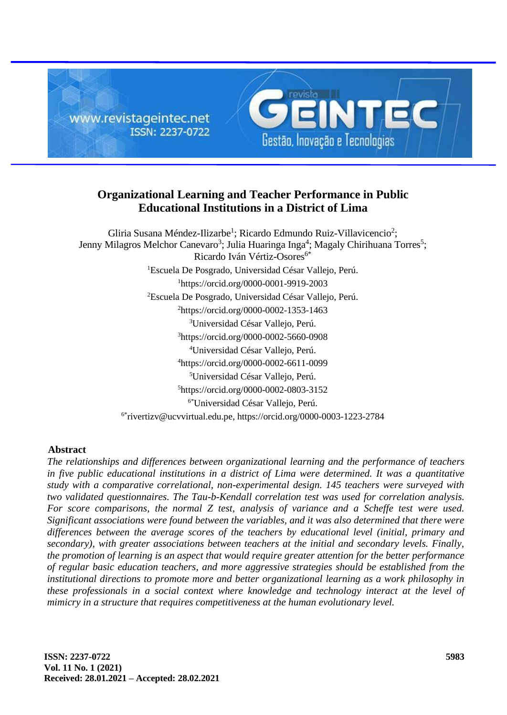

# **Organizational Learning and Teacher Performance in Public Educational Institutions in a District of Lima**

Gliria Susana Méndez-Ilizarbe<sup>1</sup>; Ricardo Edmundo Ruiz-Villavicencio<sup>2</sup>; Jenny Milagros Melchor Canevaro<sup>3</sup>; Julia Huaringa Inga<sup>4</sup>; Magaly Chirihuana Torres<sup>5</sup>; Ricardo Iván Vértiz-Osores<sup>6\*</sup> Escuela De Posgrado, Universidad César Vallejo, Perú. https://orcid.org/0000-0001-9919-2003 Escuela De Posgrado, Universidad César Vallejo, Perú. https://orcid.org/0000-0002-1353-1463 Universidad César Vallejo, Perú. https://orcid.org/0000-0002-5660-0908 Universidad César Vallejo, Perú. https://orcid.org/0000-0002-6611-0099 Universidad César Vallejo, Perú. https://orcid.org/0000-0002-0803-3152 6\*Universidad César Vallejo, Perú.  $6*$ [rivertizv@ucvvirtual.edu.pe,](mailto:6*rivertizv@ucvvirtual.edu.pe) https://orcid.org/0000-0003-1223-2784

# **Abstract**

*The relationships and differences between organizational learning and the performance of teachers in five public educational institutions in a district of Lima were determined. It was a quantitative study with a comparative correlational, non-experimental design. 145 teachers were surveyed with two validated questionnaires. The Tau-b-Kendall correlation test was used for correlation analysis. For score comparisons, the normal Z test, analysis of variance and a Scheffe test were used. Significant associations were found between the variables, and it was also determined that there were differences between the average scores of the teachers by educational level (initial, primary and secondary), with greater associations between teachers at the initial and secondary levels. Finally, the promotion of learning is an aspect that would require greater attention for the better performance of regular basic education teachers, and more aggressive strategies should be established from the institutional directions to promote more and better organizational learning as a work philosophy in these professionals in a social context where knowledge and technology interact at the level of mimicry in a structure that requires competitiveness at the human evolutionary level.*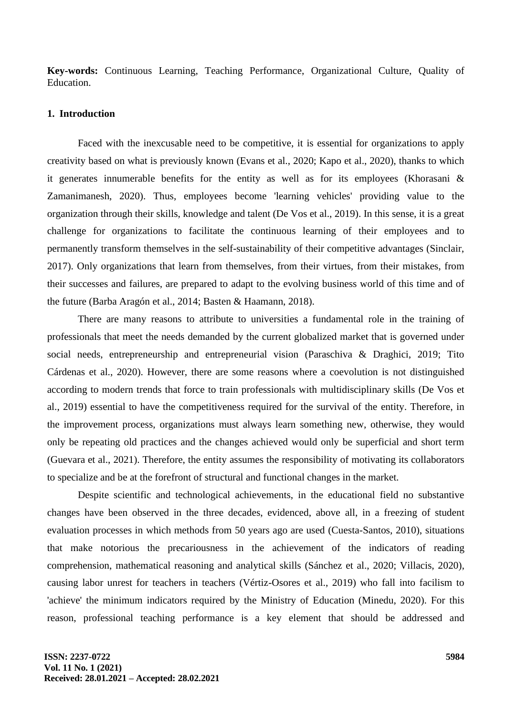**Key-words:** Continuous Learning, Teaching Performance, Organizational Culture, Quality of Education.

#### **1. Introduction**

Faced with the inexcusable need to be competitive, it is essential for organizations to apply creativity based on what is previously known (Evans et al., 2020; Kapo et al., 2020), thanks to which it generates innumerable benefits for the entity as well as for its employees (Khorasani & Zamanimanesh, 2020). Thus, employees become 'learning vehicles' providing value to the organization through their skills, knowledge and talent (De Vos et al., 2019). In this sense, it is a great challenge for organizations to facilitate the continuous learning of their employees and to permanently transform themselves in the self-sustainability of their competitive advantages (Sinclair, 2017). Only organizations that learn from themselves, from their virtues, from their mistakes, from their successes and failures, are prepared to adapt to the evolving business world of this time and of the future (Barba Aragón et al., 2014; Basten & Haamann, 2018).

There are many reasons to attribute to universities a fundamental role in the training of professionals that meet the needs demanded by the current globalized market that is governed under social needs, entrepreneurship and entrepreneurial vision (Paraschiva & Draghici, 2019; Tito Cárdenas et al., 2020). However, there are some reasons where a coevolution is not distinguished according to modern trends that force to train professionals with multidisciplinary skills (De Vos et al., 2019) essential to have the competitiveness required for the survival of the entity. Therefore, in the improvement process, organizations must always learn something new, otherwise, they would only be repeating old practices and the changes achieved would only be superficial and short term (Guevara et al., 2021). Therefore, the entity assumes the responsibility of motivating its collaborators to specialize and be at the forefront of structural and functional changes in the market.

Despite scientific and technological achievements, in the educational field no substantive changes have been observed in the three decades, evidenced, above all, in a freezing of student evaluation processes in which methods from 50 years ago are used (Cuesta-Santos, 2010), situations that make notorious the precariousness in the achievement of the indicators of reading comprehension, mathematical reasoning and analytical skills (Sánchez et al., 2020; Villacis, 2020), causing labor unrest for teachers in teachers (Vértiz-Osores et al., 2019) who fall into facilism to 'achieve' the minimum indicators required by the Ministry of Education (Minedu, 2020). For this reason, professional teaching performance is a key element that should be addressed and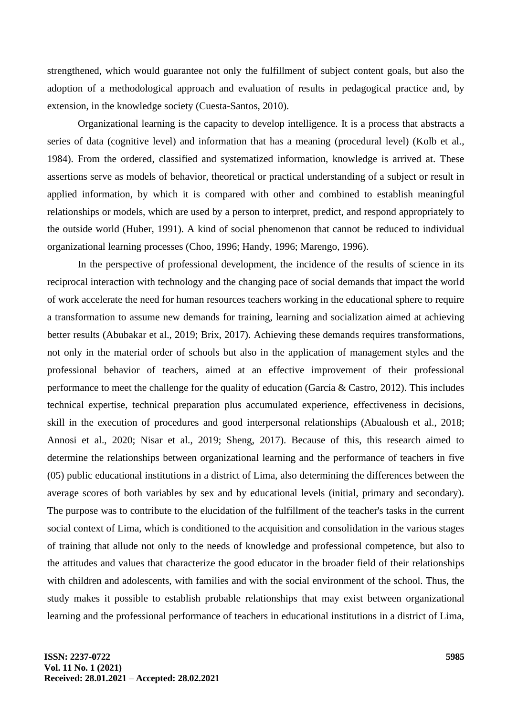strengthened, which would guarantee not only the fulfillment of subject content goals, but also the adoption of a methodological approach and evaluation of results in pedagogical practice and, by extension, in the knowledge society (Cuesta-Santos, 2010).

Organizational learning is the capacity to develop intelligence. It is a process that abstracts a series of data (cognitive level) and information that has a meaning (procedural level) (Kolb et al., 1984). From the ordered, classified and systematized information, knowledge is arrived at. These assertions serve as models of behavior, theoretical or practical understanding of a subject or result in applied information, by which it is compared with other and combined to establish meaningful relationships or models, which are used by a person to interpret, predict, and respond appropriately to the outside world (Huber, 1991). A kind of social phenomenon that cannot be reduced to individual organizational learning processes (Choo, 1996; Handy, 1996; Marengo, 1996).

In the perspective of professional development, the incidence of the results of science in its reciprocal interaction with technology and the changing pace of social demands that impact the world of work accelerate the need for human resources teachers working in the educational sphere to require a transformation to assume new demands for training, learning and socialization aimed at achieving better results (Abubakar et al., 2019; Brix, 2017). Achieving these demands requires transformations, not only in the material order of schools but also in the application of management styles and the professional behavior of teachers, aimed at an effective improvement of their professional performance to meet the challenge for the quality of education (García & Castro, 2012). This includes technical expertise, technical preparation plus accumulated experience, effectiveness in decisions, skill in the execution of procedures and good interpersonal relationships (Abualoush et al., 2018; Annosi et al., 2020; Nisar et al., 2019; Sheng, 2017). Because of this, this research aimed to determine the relationships between organizational learning and the performance of teachers in five (05) public educational institutions in a district of Lima, also determining the differences between the average scores of both variables by sex and by educational levels (initial, primary and secondary). The purpose was to contribute to the elucidation of the fulfillment of the teacher's tasks in the current social context of Lima, which is conditioned to the acquisition and consolidation in the various stages of training that allude not only to the needs of knowledge and professional competence, but also to the attitudes and values that characterize the good educator in the broader field of their relationships with children and adolescents, with families and with the social environment of the school. Thus, the study makes it possible to establish probable relationships that may exist between organizational learning and the professional performance of teachers in educational institutions in a district of Lima,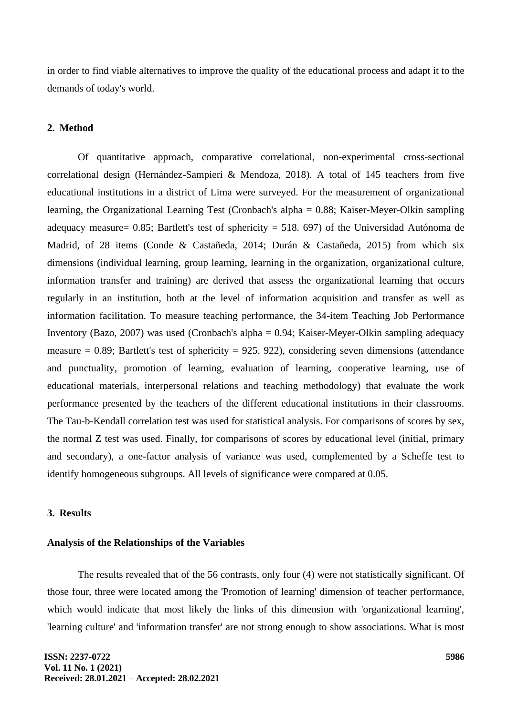in order to find viable alternatives to improve the quality of the educational process and adapt it to the demands of today's world.

## **2. Method**

Of quantitative approach, comparative correlational, non-experimental cross-sectional correlational design (Hernández-Sampieri & Mendoza, 2018). A total of 145 teachers from five educational institutions in a district of Lima were surveyed. For the measurement of organizational learning, the Organizational Learning Test (Cronbach's alpha = 0.88; Kaiser-Meyer-Olkin sampling adequacy measure= 0.85; Bartlett's test of sphericity = 518. 697) of the Universidad Autónoma de Madrid, of 28 items (Conde & Castañeda, 2014; Durán & Castañeda, 2015) from which six dimensions (individual learning, group learning, learning in the organization, organizational culture, information transfer and training) are derived that assess the organizational learning that occurs regularly in an institution, both at the level of information acquisition and transfer as well as information facilitation. To measure teaching performance, the 34-item Teaching Job Performance Inventory (Bazo, 2007) was used (Cronbach's alpha = 0.94; Kaiser-Meyer-Olkin sampling adequacy measure  $= 0.89$ ; Bartlett's test of sphericity  $= 925.922$ ), considering seven dimensions (attendance and punctuality, promotion of learning, evaluation of learning, cooperative learning, use of educational materials, interpersonal relations and teaching methodology) that evaluate the work performance presented by the teachers of the different educational institutions in their classrooms. The Tau-b-Kendall correlation test was used for statistical analysis. For comparisons of scores by sex, the normal Z test was used. Finally, for comparisons of scores by educational level (initial, primary and secondary), a one-factor analysis of variance was used, complemented by a Scheffe test to identify homogeneous subgroups. All levels of significance were compared at 0.05.

#### **3. Results**

#### **Analysis of the Relationships of the Variables**

The results revealed that of the 56 contrasts, only four (4) were not statistically significant. Of those four, three were located among the 'Promotion of learning' dimension of teacher performance, which would indicate that most likely the links of this dimension with 'organizational learning', 'learning culture' and 'information transfer' are not strong enough to show associations. What is most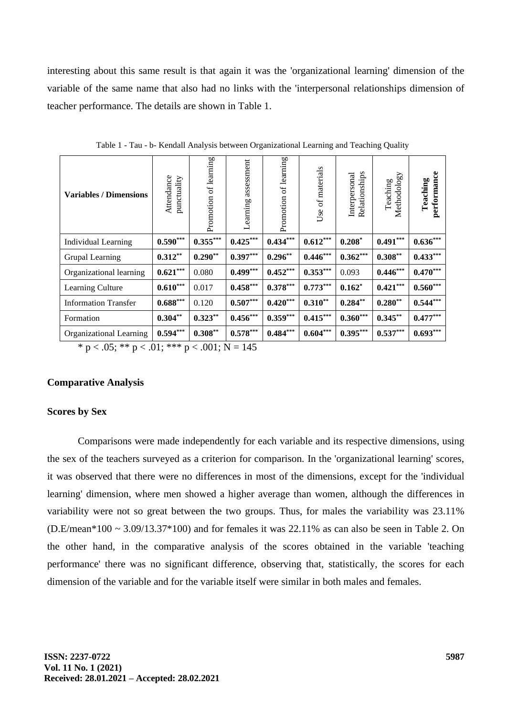interesting about this same result is that again it was the 'organizational learning' dimension of the variable of the same name that also had no links with the 'interpersonal relationships dimension of teacher performance. The details are shown in Table 1.

| <b>Variables / Dimensions</b>                                          | Attendance<br>punctuality | of learning<br>Promotion | assessment<br>Learning | of learning<br>Promotion | of materials<br>$_{\rm Use}$ | Relationships<br>Interpersonal | Methodology<br>Teaching | performance<br>Teaching |
|------------------------------------------------------------------------|---------------------------|--------------------------|------------------------|--------------------------|------------------------------|--------------------------------|-------------------------|-------------------------|
| Individual Learning                                                    | $0.590***$                | $0.355***$               | $0.425***$             | $0.434***$               | $0.612***$                   | $0.208*$                       | $0.491***$              | $0.636***$              |
| Grupal Learning                                                        | $0.312**$                 | $0.290**$                | $0.397***$             | $0.296**$                | $0.446***$                   | $0.362***$                     | $0.308***$              | $0.433***$              |
| Organizational learning                                                | $0.621***$                | 0.080                    | $0.499***$             | $0.452***$               | $0.353***$                   | 0.093                          | $0.446***$              | $0.470***$              |
| Learning Culture                                                       | $0.610***$                | 0.017                    | $0.458***$             | $0.378***$               | $0.773***$                   | $0.162*$                       | $0.421***$              | $0.560***$              |
| <b>Information Transfer</b>                                            | $0.688***$                | 0.120                    | $0.507***$             | $0.420***$               | $0.310**$                    | $0.284**$                      | $0.280**$               | $0.544***$              |
| Formation                                                              | $0.304**$                 | $0.323**$                | $0.456***$             | $0.359***$               | $0.415***$                   | $0.360***$                     | $0.345***$              | $0.477***$              |
| Organizational Learning                                                | $0.594***$                | $0.308**$                | $0.578***$             | $0.484***$               | $0.604***$                   | $0.395***$                     | $0.537***$              | $0.693***$              |
| $* = \sqrt{6}$ , $*$ $* = \sqrt{1}$ , $*$ $*$ $* = \sqrt{01}$ , NI 145 |                           |                          |                        |                          |                              |                                |                         |                         |

Table 1 - Tau - b- Kendall Analysis between Organizational Learning and Teaching Quality

\* p < .05; \*\* p < .01; \*\*\* p < .001; N = 145

#### **Comparative Analysis**

#### **Scores by Sex**

Comparisons were made independently for each variable and its respective dimensions, using the sex of the teachers surveyed as a criterion for comparison. In the 'organizational learning' scores, it was observed that there were no differences in most of the dimensions, except for the 'individual learning' dimension, where men showed a higher average than women, although the differences in variability were not so great between the two groups. Thus, for males the variability was 23.11% (D.E/mean\*100 ~ 3.09/13.37\*100) and for females it was 22.11% as can also be seen in Table 2. On the other hand, in the comparative analysis of the scores obtained in the variable 'teaching performance' there was no significant difference, observing that, statistically, the scores for each dimension of the variable and for the variable itself were similar in both males and females.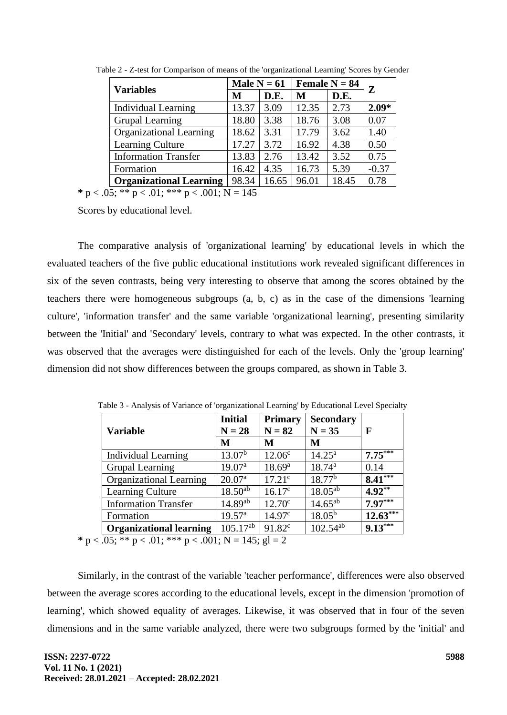| <b>Variables</b>               | Male $N = 61$ |       | Female $N = 84$ |       | $\mathbf{Z}$ |
|--------------------------------|---------------|-------|-----------------|-------|--------------|
|                                | M             | D.E.  | M               | D.E.  |              |
| Individual Learning            | 13.37         | 3.09  | 12.35           | 2.73  | $2.09*$      |
| <b>Grupal Learning</b>         | 18.80         | 3.38  | 18.76           | 3.08  | 0.07         |
| <b>Organizational Learning</b> | 18.62         | 3.31  | 17.79           | 3.62  | 1.40         |
| Learning Culture               | 17.27         | 3.72  | 16.92           | 4.38  | 0.50         |
| <b>Information Transfer</b>    | 13.83         | 2.76  | 13.42           | 3.52  | 0.75         |
| Formation                      | 16.42         | 4.35  | 16.73           | 5.39  | $-0.37$      |
| <b>Organizational Learning</b> | 98.34         | 16.65 | 96.01           | 18.45 | 0.78         |

Table 2 - Z-test for Comparison of means of the 'organizational Learning' Scores by Gender

\*  $p < .05$ ; \*\*  $p < .01$ ; \*\*\*  $p < .001$ ; N = 145

Scores by educational level.

The comparative analysis of 'organizational learning' by educational levels in which the evaluated teachers of the five public educational institutions work revealed significant differences in six of the seven contrasts, being very interesting to observe that among the scores obtained by the teachers there were homogeneous subgroups (a, b, c) as in the case of the dimensions 'learning culture', 'information transfer' and the same variable 'organizational learning', presenting similarity between the 'Initial' and 'Secondary' levels, contrary to what was expected. In the other contrasts, it was observed that the averages were distinguished for each of the levels. Only the 'group learning' dimension did not show differences between the groups compared, as shown in Table 3.

| <b>Variable</b>                                                                 | <b>Initial</b><br>$N = 28$ | <b>Primary</b><br>$N = 82$ | <b>Secondary</b><br>$N = 35$ | F          |  |  |
|---------------------------------------------------------------------------------|----------------------------|----------------------------|------------------------------|------------|--|--|
|                                                                                 | M                          | M                          | M                            |            |  |  |
| <b>Individual Learning</b>                                                      | $13.07^b$                  | 12.06 <sup>c</sup>         | $14.25^{\rm a}$              | $7.75***$  |  |  |
| Grupal Learning                                                                 | 19.07 <sup>a</sup>         | 18.69 <sup>a</sup>         | $18.74^{\rm a}$              | 0.14       |  |  |
| Organizational Learning                                                         | 20.07 <sup>a</sup>         | $17.21^{\circ}$            | $18.77^{\rm b}$              | $8.41***$  |  |  |
| Learning Culture                                                                | $18.50^{ab}$               | $16.17^c$                  | $18.05^{ab}$                 | $4.92**$   |  |  |
| <b>Information Transfer</b>                                                     | $14.89^{ab}$               | $12.70^{\circ}$            | $14.65^{ab}$                 | $7.97***$  |  |  |
| Formation                                                                       | $19.57^{\rm a}$            | 14.97 <sup>c</sup>         | $18.05^{b}$                  | $12.63***$ |  |  |
| <b>Organizational learning</b>                                                  | $105.17^{ab}$              | 91.82 <sup>c</sup>         | $102.54^{ab}$                | $9.13***$  |  |  |
| $0.5 \cdot$ ** p $\ge 0.1 \cdot$ *** p $\ge 0.01 \cdot$ N = 1.45 $\cdot$ pl = 2 |                            |                            |                              |            |  |  |

Table 3 - Analysis of Variance of 'organizational Learning' by Educational Level Specialty

**\***  $p < .05$ ; \*\*  $p < .01$ ; \*\*\*  $p < .001$ ; N = 145; gl = 2

Similarly, in the contrast of the variable 'teacher performance', differences were also observed between the average scores according to the educational levels, except in the dimension 'promotion of learning', which showed equality of averages. Likewise, it was observed that in four of the seven dimensions and in the same variable analyzed, there were two subgroups formed by the 'initial' and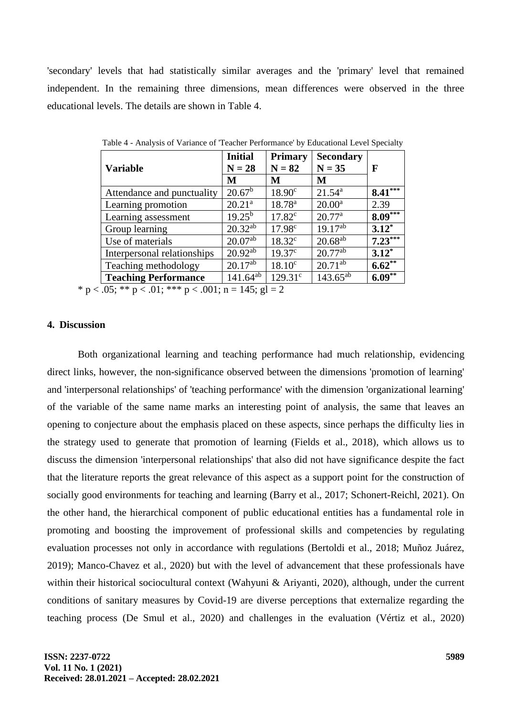'secondary' levels that had statistically similar averages and the 'primary' level that remained independent. In the remaining three dimensions, mean differences were observed in the three educational levels. The details are shown in Table 4.

| <b>Variable</b>                                                    | <b>Initial</b><br>$N = 28$ | <b>Primary</b><br>$N = 82$ | <b>Secondary</b><br>$N = 35$ | F         |  |
|--------------------------------------------------------------------|----------------------------|----------------------------|------------------------------|-----------|--|
|                                                                    | M                          | M                          | M                            |           |  |
| Attendance and punctuality                                         | $20.67^{\rm b}$            | 18.90 <sup>c</sup>         | $21.54^a$                    | $8.41***$ |  |
| Learning promotion                                                 | 20.21 <sup>a</sup>         | 18.78 <sup>a</sup>         | $20.00^a$                    | 2.39      |  |
| Learning assessment                                                | $19.25^{b}$                | $17.82^c$                  | $20.77^{\rm a}$              | $8.09***$ |  |
| Group learning                                                     | $20.32^{ab}$               | 17.98 <sup>c</sup>         | $19.17^{ab}$                 | $3.12^*$  |  |
| Use of materials                                                   | $20.07^{ab}$               | $18.32^{\circ}$            | $20.68^{ab}$                 | $7.23***$ |  |
| Interpersonal relationships                                        | $20.92^{ab}$               | $19.37^{\circ}$            | $20.77^{ab}$                 | $3.12^*$  |  |
| Teaching methodology                                               | $20.17^{a\overline{b}}$    | 18.10 <sup>c</sup>         | $20.71^{ab}$                 | $6.62**$  |  |
| <b>Teaching Performance</b>                                        | $141.64^{ab}$              | $129.31^{\circ}$           | $143.65^{ab}$                | $6.09**$  |  |
| * $p < .05$ ; ** $p < .01$ ; *** $p < .001$ ; $n = 145$ ; $gl = 2$ |                            |                            |                              |           |  |

Table 4 - Analysis of Variance of 'Teacher Performance' by Educational Level Specialty

**4. Discussion**

Both organizational learning and teaching performance had much relationship, evidencing direct links, however, the non-significance observed between the dimensions 'promotion of learning' and 'interpersonal relationships' of 'teaching performance' with the dimension 'organizational learning' of the variable of the same name marks an interesting point of analysis, the same that leaves an opening to conjecture about the emphasis placed on these aspects, since perhaps the difficulty lies in the strategy used to generate that promotion of learning (Fields et al., 2018), which allows us to discuss the dimension 'interpersonal relationships' that also did not have significance despite the fact that the literature reports the great relevance of this aspect as a support point for the construction of socially good environments for teaching and learning (Barry et al., 2017; Schonert-Reichl, 2021). On the other hand, the hierarchical component of public educational entities has a fundamental role in promoting and boosting the improvement of professional skills and competencies by regulating evaluation processes not only in accordance with regulations (Bertoldi et al., 2018; Muñoz Juárez, 2019); Manco-Chavez et al., 2020) but with the level of advancement that these professionals have within their historical sociocultural context (Wahyuni & Ariyanti, 2020), although, under the current conditions of sanitary measures by Covid-19 are diverse perceptions that externalize regarding the teaching process (De Smul et al., 2020) and challenges in the evaluation (Vértiz et al., 2020)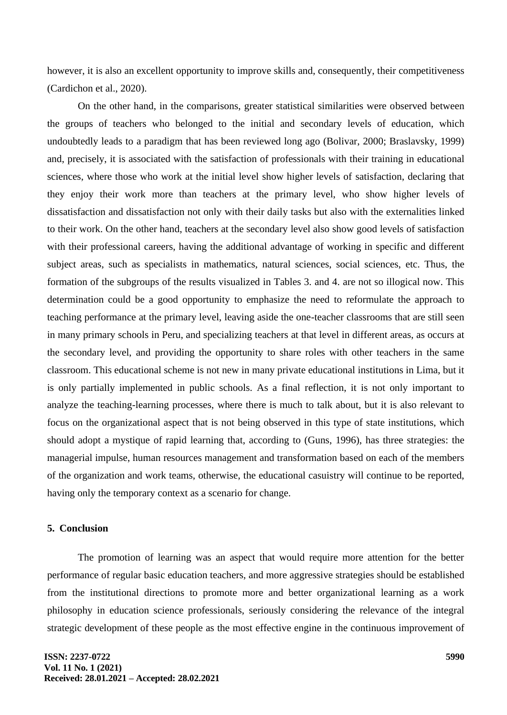however, it is also an excellent opportunity to improve skills and, consequently, their competitiveness (Cardichon et al., 2020).

On the other hand, in the comparisons, greater statistical similarities were observed between the groups of teachers who belonged to the initial and secondary levels of education, which undoubtedly leads to a paradigm that has been reviewed long ago (Bolivar, 2000; Braslavsky, 1999) and, precisely, it is associated with the satisfaction of professionals with their training in educational sciences, where those who work at the initial level show higher levels of satisfaction, declaring that they enjoy their work more than teachers at the primary level, who show higher levels of dissatisfaction and dissatisfaction not only with their daily tasks but also with the externalities linked to their work. On the other hand, teachers at the secondary level also show good levels of satisfaction with their professional careers, having the additional advantage of working in specific and different subject areas, such as specialists in mathematics, natural sciences, social sciences, etc. Thus, the formation of the subgroups of the results visualized in Tables 3. and 4. are not so illogical now. This determination could be a good opportunity to emphasize the need to reformulate the approach to teaching performance at the primary level, leaving aside the one-teacher classrooms that are still seen in many primary schools in Peru, and specializing teachers at that level in different areas, as occurs at the secondary level, and providing the opportunity to share roles with other teachers in the same classroom. This educational scheme is not new in many private educational institutions in Lima, but it is only partially implemented in public schools. As a final reflection, it is not only important to analyze the teaching-learning processes, where there is much to talk about, but it is also relevant to focus on the organizational aspect that is not being observed in this type of state institutions, which should adopt a mystique of rapid learning that, according to (Guns, 1996), has three strategies: the managerial impulse, human resources management and transformation based on each of the members of the organization and work teams, otherwise, the educational casuistry will continue to be reported, having only the temporary context as a scenario for change.

### **5. Conclusion**

The promotion of learning was an aspect that would require more attention for the better performance of regular basic education teachers, and more aggressive strategies should be established from the institutional directions to promote more and better organizational learning as a work philosophy in education science professionals, seriously considering the relevance of the integral strategic development of these people as the most effective engine in the continuous improvement of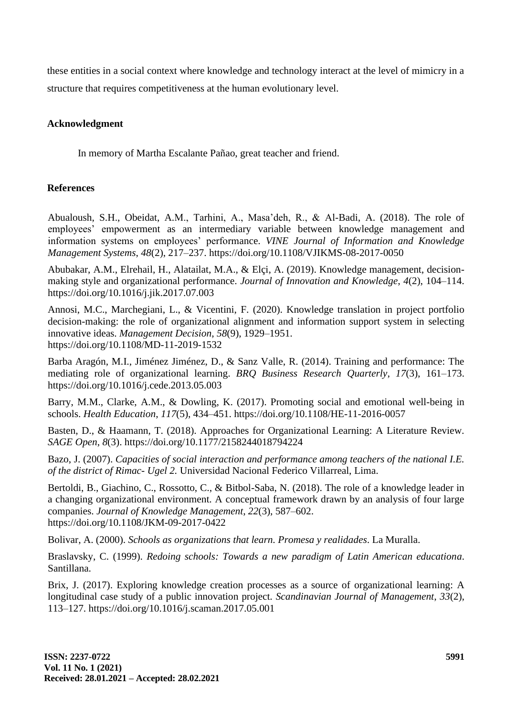these entities in a social context where knowledge and technology interact at the level of mimicry in a structure that requires competitiveness at the human evolutionary level.

# **Acknowledgment**

In memory of Martha Escalante Pañao, great teacher and friend.

## **References**

Abualoush, S.H., Obeidat, A.M., Tarhini, A., Masa'deh, R., & Al-Badi, A. (2018). The role of employees' empowerment as an intermediary variable between knowledge management and information systems on employees' performance. *VINE Journal of Information and Knowledge Management Systems*, *48*(2), 217–237. https://doi.org/10.1108/VJIKMS-08-2017-0050

Abubakar, A.M., Elrehail, H., Alatailat, M.A., & Elçi, A. (2019). Knowledge management, decisionmaking style and organizational performance. *Journal of Innovation and Knowledge*, *4*(2), 104–114. https://doi.org/10.1016/j.jik.2017.07.003

Annosi, M.C., Marchegiani, L., & Vicentini, F. (2020). Knowledge translation in project portfolio decision-making: the role of organizational alignment and information support system in selecting innovative ideas. *Management Decision*, *58*(9), 1929–1951. https://doi.org/10.1108/MD-11-2019-1532

Barba Aragón, M.I., Jiménez Jiménez, D., & Sanz Valle, R. (2014). Training and performance: The mediating role of organizational learning. *BRQ Business Research Quarterly*, *17*(3), 161–173. https://doi.org/10.1016/j.cede.2013.05.003

Barry, M.M., Clarke, A.M., & Dowling, K. (2017). Promoting social and emotional well-being in schools. *Health Education*, *117*(5), 434–451. https://doi.org/10.1108/HE-11-2016-0057

Basten, D., & Haamann, T. (2018). Approaches for Organizational Learning: A Literature Review. *SAGE Open*, *8*(3). https://doi.org/10.1177/2158244018794224

Bazo, J. (2007). *Capacities of social interaction and performance among teachers of the national I.E. of the district of Rimac- Ugel 2.* Universidad Nacional Federico Villarreal, Lima.

Bertoldi, B., Giachino, C., Rossotto, C., & Bitbol-Saba, N. (2018). The role of a knowledge leader in a changing organizational environment. A conceptual framework drawn by an analysis of four large companies. *Journal of Knowledge Management*, *22*(3), 587–602. https://doi.org/10.1108/JKM-09-2017-0422

Bolivar, A. (2000). *Schools as organizations that learn. Promesa y realidades*. La Muralla.

Braslavsky, C. (1999). *Redoing schools: Towards a new paradigm of Latin American educationa*. Santillana.

Brix, J. (2017). Exploring knowledge creation processes as a source of organizational learning: A longitudinal case study of a public innovation project. *Scandinavian Journal of Management*, *33*(2), 113–127. https://doi.org/10.1016/j.scaman.2017.05.001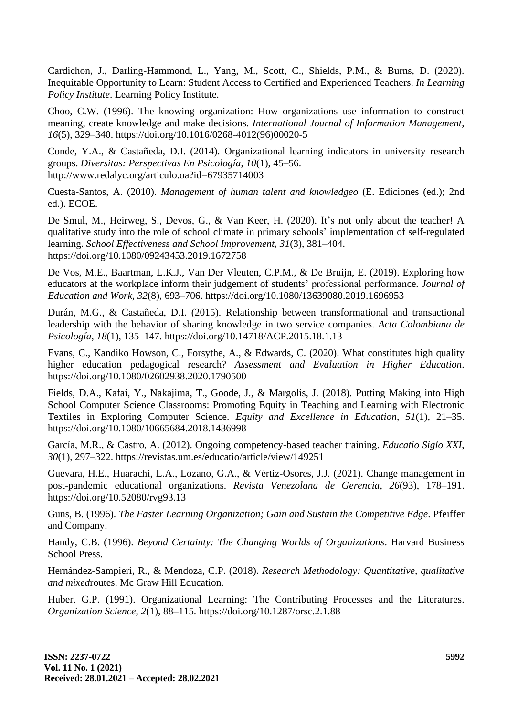Cardichon, J., Darling-Hammond, L., Yang, M., Scott, C., Shields, P.M., & Burns, D. (2020). Inequitable Opportunity to Learn: Student Access to Certified and Experienced Teachers. *In Learning Policy Institute*. Learning Policy Institute.

Choo, C.W. (1996). The knowing organization: How organizations use information to construct meaning, create knowledge and make decisions. *International Journal of Information Management*, *16*(5), 329–340. https://doi.org/10.1016/0268-4012(96)00020-5

Conde, Y.A., & Castañeda, D.I. (2014). Organizational learning indicators in university research groups. *Diversitas: Perspectivas En Psicología*, *10*(1), 45–56. http://www.redalyc.org/articulo.oa?id=67935714003

Cuesta-Santos, A. (2010). *Management of human talent and knowledgeo* (E. Ediciones (ed.); 2nd ed.). ECOE.

De Smul, M., Heirweg, S., Devos, G., & Van Keer, H. (2020). It's not only about the teacher! A qualitative study into the role of school climate in primary schools' implementation of self-regulated learning. *School Effectiveness and School Improvement*, *31*(3), 381–404. https://doi.org/10.1080/09243453.2019.1672758

De Vos, M.E., Baartman, L.K.J., Van Der Vleuten, C.P.M., & De Bruijn, E. (2019). Exploring how educators at the workplace inform their judgement of students' professional performance. *Journal of Education and Work*, *32*(8), 693–706. https://doi.org/10.1080/13639080.2019.1696953

Durán, M.G., & Castañeda, D.I. (2015). Relationship between transformational and transactional leadership with the behavior of sharing knowledge in two service companies. *Acta Colombiana de Psicología*, *18*(1), 135–147. https://doi.org/10.14718/ACP.2015.18.1.13

Evans, C., Kandiko Howson, C., Forsythe, A., & Edwards, C. (2020). What constitutes high quality higher education pedagogical research? *Assessment and Evaluation in Higher Education*. https://doi.org/10.1080/02602938.2020.1790500

Fields, D.A., Kafai, Y., Nakajima, T., Goode, J., & Margolis, J. (2018). Putting Making into High School Computer Science Classrooms: Promoting Equity in Teaching and Learning with Electronic Textiles in Exploring Computer Science. *Equity and Excellence in Education*, *51*(1), 21–35. https://doi.org/10.1080/10665684.2018.1436998

García, M.R., & Castro, A. (2012). Ongoing competency-based teacher training. *Educatio Siglo XXI*, *30*(1), 297–322. https://revistas.um.es/educatio/article/view/149251

Guevara, H.E., Huarachi, L.A., Lozano, G.A., & Vértiz-Osores, J.J. (2021). Change management in post-pandemic educational organizations. *Revista Venezolana de Gerencia*, *26*(93), 178–191. https://doi.org/10.52080/rvg93.13

Guns, B. (1996). *The Faster Learning Organization; Gain and Sustain the Competitive Edge*. Pfeiffer and Company.

Handy, C.B. (1996). *Beyond Certainty: The Changing Worlds of Organizations*. Harvard Business School Press.

Hernández-Sampieri, R., & Mendoza, C.P. (2018). *Research Methodology: Quantitative, qualitative and mixed*routes. Mc Graw Hill Education.

Huber, G.P. (1991). Organizational Learning: The Contributing Processes and the Literatures. *Organization Science*, *2*(1), 88–115. https://doi.org/10.1287/orsc.2.1.88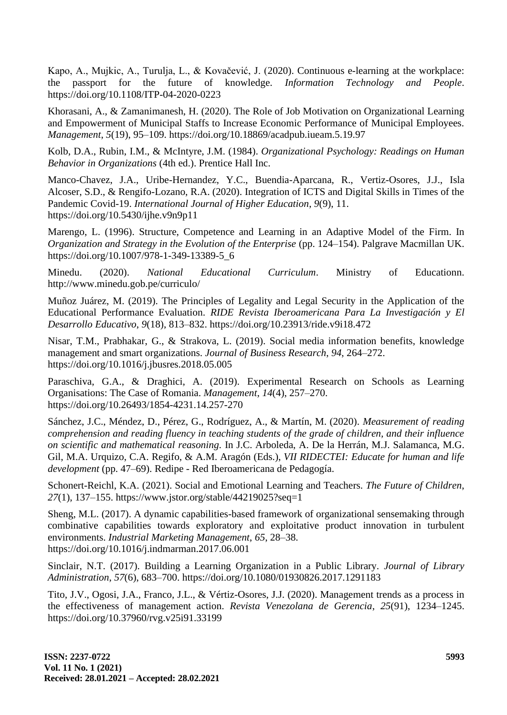Kapo, A., Mujkic, A., Turulja, L., & Kovačević, J. (2020). Continuous e-learning at the workplace: the passport for the future of knowledge. *Information Technology and People*. https://doi.org/10.1108/ITP-04-2020-0223

Khorasani, A., & Zamanimanesh, H. (2020). The Role of Job Motivation on Organizational Learning and Empowerment of Municipal Staffs to Increase Economic Performance of Municipal Employees. *Management*, *5*(19), 95–109. https://doi.org/10.18869/acadpub.iueam.5.19.97

Kolb, D.A., Rubin, I.M., & McIntyre, J.M. (1984). *Organizational Psychology: Readings on Human Behavior in Organizations* (4th ed.). Prentice Hall Inc.

Manco-Chavez, J.A., Uribe-Hernandez, Y.C., Buendia-Aparcana, R., Vertiz-Osores, J.J., Isla Alcoser, S.D., & Rengifo-Lozano, R.A. (2020). Integration of ICTS and Digital Skills in Times of the Pandemic Covid-19. *International Journal of Higher Education*, *9*(9), 11. https://doi.org/10.5430/ijhe.v9n9p11

Marengo, L. (1996). Structure, Competence and Learning in an Adaptive Model of the Firm. In *Organization and Strategy in the Evolution of the Enterprise* (pp. 124–154). Palgrave Macmillan UK. https://doi.org/10.1007/978-1-349-13389-5\_6

Minedu. (2020). *National Educational Curriculum*. Ministry of Educationn. http://www.minedu.gob.pe/curriculo/

Muñoz Juárez, M. (2019). The Principles of Legality and Legal Security in the Application of the Educational Performance Evaluation. *RIDE Revista Iberoamericana Para La Investigación y El Desarrollo Educativo*, *9*(18), 813–832. https://doi.org/10.23913/ride.v9i18.472

Nisar, T.M., Prabhakar, G., & Strakova, L. (2019). Social media information benefits, knowledge management and smart organizations. *Journal of Business Research*, *94*, 264–272. https://doi.org/10.1016/j.jbusres.2018.05.005

Paraschiva, G.A., & Draghici, A. (2019). Experimental Research on Schools as Learning Organisations: The Case of Romania. *Management*, *14*(4), 257–270. https://doi.org/10.26493/1854-4231.14.257-270

Sánchez, J.C., Méndez, D., Pérez, G., Rodríguez, A., & Martín, M. (2020). *Measurement of reading comprehension and reading fluency in teaching students of the grade of children, and their influence on scientific and mathematical reasoning.* In J.C. Arboleda, A. De la Herrán, M.J. Salamanca, M.G. Gil, M.A. Urquizo, C.A. Regifo, & A.M. Aragón (Eds.), *VII RIDECTEI: Educate for human and life development* (pp. 47–69). Redipe - Red Iberoamericana de Pedagogía.

Schonert-Reichl, K.A. (2021). Social and Emotional Learning and Teachers. *The Future of Children*, *27*(1), 137–155. https://www.jstor.org/stable/44219025?seq=1

Sheng, M.L. (2017). A dynamic capabilities-based framework of organizational sensemaking through combinative capabilities towards exploratory and exploitative product innovation in turbulent environments. *Industrial Marketing Management*, *65*, 28–38. https://doi.org/10.1016/j.indmarman.2017.06.001

Sinclair, N.T. (2017). Building a Learning Organization in a Public Library. *Journal of Library Administration*, *57*(6), 683–700. https://doi.org/10.1080/01930826.2017.1291183

Tito, J.V., Ogosi, J.A., Franco, J.L., & Vértiz-Osores, J.J. (2020). Management trends as a process in the effectiveness of management action. *Revista Venezolana de Gerencia*, *25*(91), 1234–1245. https://doi.org/10.37960/rvg.v25i91.33199